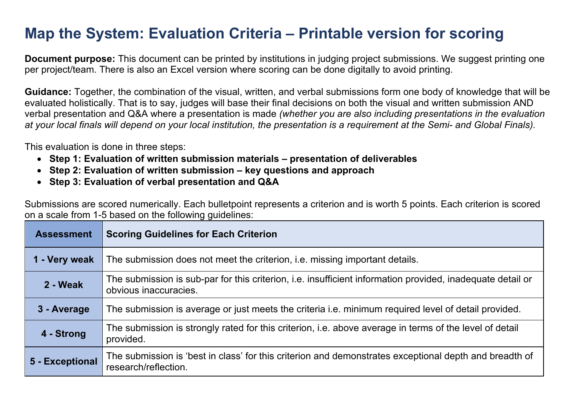## **Map the System: Evaluation Criteria – Printable version for scoring**

**Document purpose:** This document can be printed by institutions in judging project submissions. We suggest printing one per project/team. There is also an Excel version where scoring can be done digitally to avoid printing.

**Guidance:** Together, the combination of the visual, written, and verbal submissions form one body of knowledge that will be evaluated holistically. That is to say, judges will base their final decisions on both the visual and written submission AND verbal presentation and Q&A where a presentation is made *(whether you are also including presentations in the evaluation at your local finals will depend on your local institution, the presentation is a requirement at the Semi- and Global Finals).*

This evaluation is done in three steps: 

- **Step 1: Evaluation of written submission materials presentation of deliverables**
- **Step 2: Evaluation of written submission key questions and approach**
- **Step 3: Evaluation of verbal presentation and Q&A**

Submissions are scored numerically. Each bulletpoint represents a criterion and is worth 5 points. Each criterion is scored on a scale from 1-5 based on the following guidelines:

| <b>Assessment</b> | <b>Scoring Guidelines for Each Criterion</b>                                                                                        |  |
|-------------------|-------------------------------------------------------------------------------------------------------------------------------------|--|
| 1 - Very weak     | The submission does not meet the criterion, i.e. missing important details.                                                         |  |
| 2 - Weak          | The submission is sub-par for this criterion, i.e. insufficient information provided, inadequate detail or<br>obvious inaccuracies. |  |
| 3 - Average       | The submission is average or just meets the criteria <i>i.e.</i> minimum required level of detail provided.                         |  |
| 4 - Strong        | The submission is strongly rated for this criterion, i.e. above average in terms of the level of detail<br>provided.                |  |
| 5 - Exceptional   | The submission is 'best in class' for this criterion and demonstrates exceptional depth and breadth of<br>research/reflection.      |  |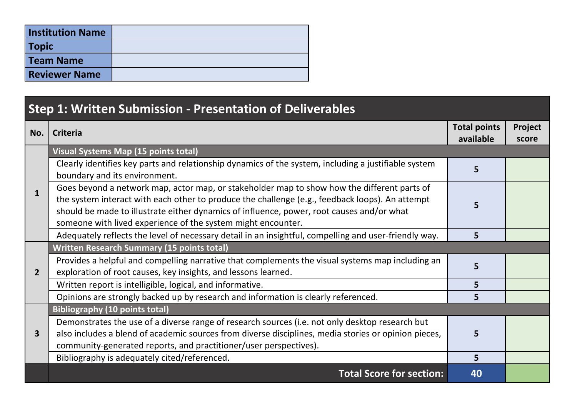| <b>Institution Name</b> |  |
|-------------------------|--|
| <b>Topic</b>            |  |
| Team Name               |  |
| <b>Reviewer Name</b>    |  |

## **Step 1: Written Submission - Presentation of Deliverables No. Criteria Total points available Project score 1 Visual Systems Map (15 points total)**  Clearly identifies key parts and relationship dynamics of the system, including a justifiable system boundary activities key parts and relationship aynannes of the system, including a justinable system **5**<br>boundary and its environment. Goes beyond a network map, actor map, or stakeholder map to show how the different parts of the system interact with each other to produce the challenge (e.g., feedback loops). An attempt should be made to illustrate either dynamics of influence, power, root causes and/or what someone with lived experience of the system might encounter. **5**  Adequately reflects the level of necessary detail in an insightful, compelling and user-friendly way. **5 2 Written Research Summary (15 points total)** Provides a helpful and compelling narrative that complements the visual systems map including an exploration of root causes, key insights, and lessons learned. **<sup>5</sup>** Written report is intelligible, logical, and informative. **5** Opinions are strongly backed up by research and information is clearly referenced. **5 3 Bibliography (10 points total)** Demonstrates the use of a diverse range of research sources (i.e. not only desktop research but also includes a blend of academic sources from diverse disciplines, media stories or opinion pieces, community-generated reports, and practitioner/user perspectives). **5**  Bibliography is adequately cited/referenced. **5 Total Score for section: 40**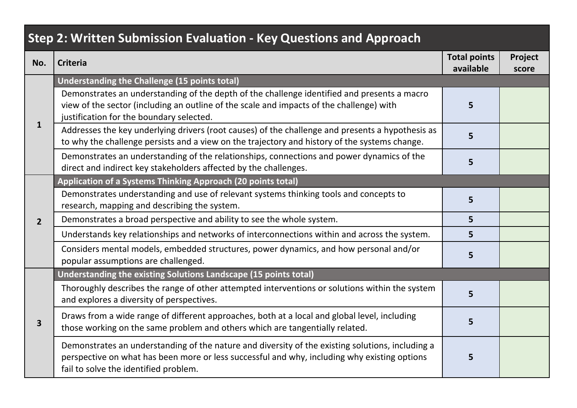## **Step 2: Written Submission Evaluation - Key Questions and Approach**

| No.                     | <b>Criteria</b>                                                                                                                                                                                                                           | <b>Total points</b><br>available | Project<br>score |
|-------------------------|-------------------------------------------------------------------------------------------------------------------------------------------------------------------------------------------------------------------------------------------|----------------------------------|------------------|
| $\mathbf{1}$            | Understanding the Challenge (15 points total)                                                                                                                                                                                             |                                  |                  |
|                         | Demonstrates an understanding of the depth of the challenge identified and presents a macro<br>view of the sector (including an outline of the scale and impacts of the challenge) with<br>justification for the boundary selected.       | 5                                |                  |
|                         | Addresses the key underlying drivers (root causes) of the challenge and presents a hypothesis as<br>to why the challenge persists and a view on the trajectory and history of the systems change.                                         | 5                                |                  |
|                         | Demonstrates an understanding of the relationships, connections and power dynamics of the<br>direct and indirect key stakeholders affected by the challenges.                                                                             | 5                                |                  |
|                         | Application of a Systems Thinking Approach (20 points total)                                                                                                                                                                              |                                  |                  |
| $\overline{2}$          | Demonstrates understanding and use of relevant systems thinking tools and concepts to<br>research, mapping and describing the system.                                                                                                     | 5                                |                  |
|                         | Demonstrates a broad perspective and ability to see the whole system.                                                                                                                                                                     | 5 <sup>1</sup>                   |                  |
|                         | Understands key relationships and networks of interconnections within and across the system.                                                                                                                                              | 5                                |                  |
|                         | Considers mental models, embedded structures, power dynamics, and how personal and/or<br>popular assumptions are challenged.                                                                                                              | 5                                |                  |
|                         | Understanding the existing Solutions Landscape (15 points total)                                                                                                                                                                          |                                  |                  |
| $\overline{\mathbf{3}}$ | Thoroughly describes the range of other attempted interventions or solutions within the system<br>and explores a diversity of perspectives.                                                                                               | 5                                |                  |
|                         | Draws from a wide range of different approaches, both at a local and global level, including<br>those working on the same problem and others which are tangentially related.                                                              | 5                                |                  |
|                         | Demonstrates an understanding of the nature and diversity of the existing solutions, including a<br>perspective on what has been more or less successful and why, including why existing options<br>fail to solve the identified problem. | 5                                |                  |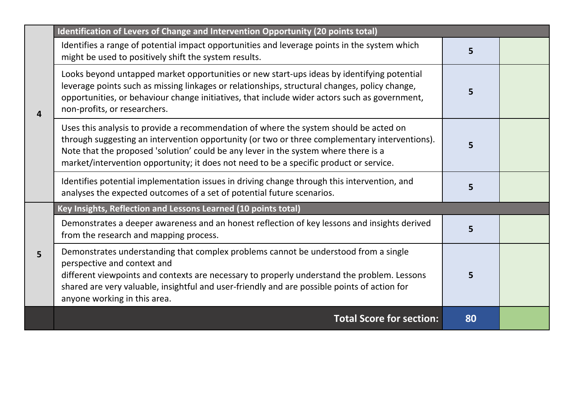|                | Identification of Levers of Change and Intervention Opportunity (20 points total)                                                                                                                                                                                                                                                                                       |    |  |
|----------------|-------------------------------------------------------------------------------------------------------------------------------------------------------------------------------------------------------------------------------------------------------------------------------------------------------------------------------------------------------------------------|----|--|
| $\overline{4}$ | Identifies a range of potential impact opportunities and leverage points in the system which<br>might be used to positively shift the system results.                                                                                                                                                                                                                   | 5  |  |
|                | Looks beyond untapped market opportunities or new start-ups ideas by identifying potential<br>leverage points such as missing linkages or relationships, structural changes, policy change,<br>opportunities, or behaviour change initiatives, that include wider actors such as government,<br>non-profits, or researchers.                                            | 5  |  |
|                | Uses this analysis to provide a recommendation of where the system should be acted on<br>through suggesting an intervention opportunity (or two or three complementary interventions).<br>Note that the proposed 'solution' could be any lever in the system where there is a<br>market/intervention opportunity; it does not need to be a specific product or service. |    |  |
|                | Identifies potential implementation issues in driving change through this intervention, and<br>analyses the expected outcomes of a set of potential future scenarios.                                                                                                                                                                                                   | 5  |  |
| 5 <sup>1</sup> | Key Insights, Reflection and Lessons Learned (10 points total)                                                                                                                                                                                                                                                                                                          |    |  |
|                | Demonstrates a deeper awareness and an honest reflection of key lessons and insights derived<br>from the research and mapping process.                                                                                                                                                                                                                                  | 5  |  |
|                | Demonstrates understanding that complex problems cannot be understood from a single<br>perspective and context and<br>different viewpoints and contexts are necessary to properly understand the problem. Lessons<br>shared are very valuable, insightful and user-friendly and are possible points of action for<br>anyone working in this area.                       | 5  |  |
|                | <b>Total Score for section:</b>                                                                                                                                                                                                                                                                                                                                         | 80 |  |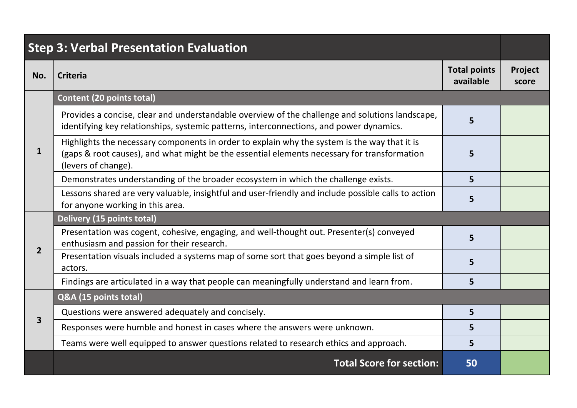| <b>Step 3: Verbal Presentation Evaluation</b> |                                                                                                                                                                                                                    |                                  |                  |
|-----------------------------------------------|--------------------------------------------------------------------------------------------------------------------------------------------------------------------------------------------------------------------|----------------------------------|------------------|
| No.                                           | <b>Criteria</b>                                                                                                                                                                                                    | <b>Total points</b><br>available | Project<br>score |
|                                               | <b>Content (20 points total)</b>                                                                                                                                                                                   |                                  |                  |
| 1                                             | Provides a concise, clear and understandable overview of the challenge and solutions landscape,<br>identifying key relationships, systemic patterns, interconnections, and power dynamics.                         | 5                                |                  |
|                                               | Highlights the necessary components in order to explain why the system is the way that it is<br>(gaps & root causes), and what might be the essential elements necessary for transformation<br>(levers of change). | 5                                |                  |
|                                               | Demonstrates understanding of the broader ecosystem in which the challenge exists.                                                                                                                                 | 5                                |                  |
|                                               | Lessons shared are very valuable, insightful and user-friendly and include possible calls to action<br>for anyone working in this area.                                                                            | 5                                |                  |
|                                               | Delivery (15 points total)                                                                                                                                                                                         |                                  |                  |
| $\overline{2}$                                | Presentation was cogent, cohesive, engaging, and well-thought out. Presenter(s) conveyed<br>enthusiasm and passion for their research.                                                                             | 5                                |                  |
|                                               | Presentation visuals included a systems map of some sort that goes beyond a simple list of<br>actors.                                                                                                              | 5                                |                  |
|                                               | Findings are articulated in a way that people can meaningfully understand and learn from.                                                                                                                          | 5                                |                  |
|                                               | Q&A (15 points total)                                                                                                                                                                                              |                                  |                  |
|                                               | Questions were answered adequately and concisely.                                                                                                                                                                  | 5                                |                  |
| 3                                             | Responses were humble and honest in cases where the answers were unknown.                                                                                                                                          | 5                                |                  |
|                                               | Teams were well equipped to answer questions related to research ethics and approach.                                                                                                                              | 5                                |                  |
|                                               | <b>Total Score for section:</b>                                                                                                                                                                                    | 50                               |                  |